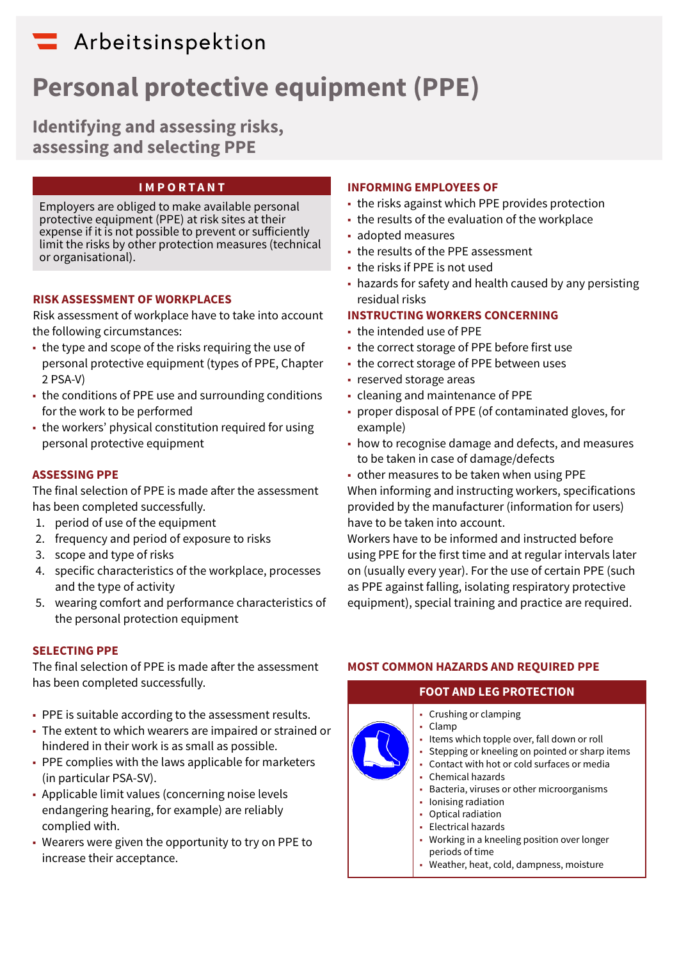## Arbeitsinspektion

# **Personal protective equipment (PPE)**

**Identifying and assessing risks, assessing and selecting PPE**

#### **IMPORTANT**

Employers are obliged to make available personal protective equipment (PPE) at risk sites at their expense if it is not possible to prevent or sufficiently limit the risks by other protection measures (technical or organisational).

#### **RISK ASSESSMENT OF WORKPLACES**

Risk assessment of workplace have to take into account the following circumstances:

- the type and scope of the risks requiring the use of personal protective equipment (types of PPE, Chapter 2 PSA-V)
- the conditions of PPE use and surrounding conditions for the work to be performed
- the workers' physical constitution required for using personal protective equipment

#### **ASSESSING PPE**

The final selection of PPE is made after the assessment has been completed successfully.

- 1. period of use of the equipment
- 2. frequency and period of exposure to risks
- 3. scope and type of risks
- 4. specific characteristics of the workplace, processes and the type of activity
- 5. wearing comfort and performance characteristics of the personal protection equipment

#### **SELECTING PPE**

The final selection of PPE is made after the assessment has been completed successfully.

- PPE is suitable according to the assessment results.
- The extent to which wearers are impaired or strained or hindered in their work is as small as possible.
- PPE complies with the laws applicable for marketers (in particular PSA-SV).
- Applicable limit values (concerning noise levels endangering hearing, for example) are reliably complied with.
- Wearers were given the opportunity to try on PPE to increase their acceptance.

#### **INFORMING EMPLOYEES OF**

- the risks against which PPE provides protection
- the results of the evaluation of the workplace
- adopted measures
- the results of the PPE assessment
- the risks if PPE is not used
- hazards for safety and health caused by any persisting residual risks

#### **INSTRUCTING WORKERS CONCERNING**

- the intended use of PPE
- the correct storage of PPE before first use
- the correct storage of PPE between uses
- reserved storage areas
- cleaning and maintenance of PPE
- proper disposal of PPE (of contaminated gloves, for example)
- how to recognise damage and defects, and measures to be taken in case of damage/defects
- other measures to be taken when using PPE When informing and instructing workers, specifications provided by the manufacturer (information for users) have to be taken into account.

Workers have to be informed and instructed before using PPE for the first time and at regular intervals later on (usually every year). For the use of certain PPE (such as PPE against falling, isolating respiratory protective equipment), special training and practice are required.

#### **MOST COMMON HAZARDS AND REQUIRED PPE**

#### **FOOT AND LEG PROTECTION**

- Crushing or clamping ■ Clamp ■ Items which topple over, fall down or roll • Stepping or kneeling on pointed or sharp items ■ Contact with hot or cold surfaces or media • Chemical hazards • Bacteria, viruses or other microorganisms ■ Ionising radiation • Optical radiation ■ Electrical hazards
	- Working in a kneeling position over longer periods of time
	- Weather, heat, cold, dampness, moisture